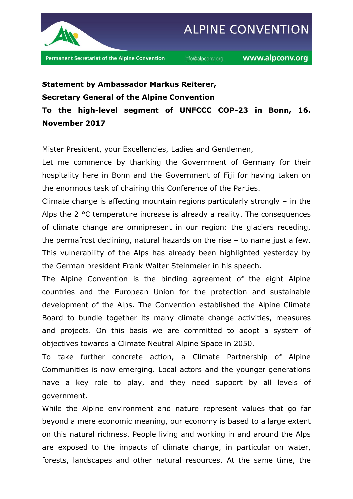

## **Statement by Ambassador Markus Reiterer, Secretary General of the Alpine Convention**

**To the high-level segment of UNFCCC COP-23 in Bonn, 16. November 2017**

Mister President, your Excellencies, Ladies and Gentlemen,

Let me commence by thanking the Government of Germany for their hospitality here in Bonn and the Government of Fiji for having taken on the enormous task of chairing this Conference of the Parties.

Climate change is affecting mountain regions particularly strongly – in the Alps the 2 °C temperature increase is already a reality. The consequences of climate change are omnipresent in our region: the glaciers receding, the permafrost declining, natural hazards on the rise – to name just a few. This vulnerability of the Alps has already been highlighted yesterday by the German president Frank Walter Steinmeier in his speech.

The Alpine Convention is the binding agreement of the eight Alpine countries and the European Union for the protection and sustainable development of the Alps. The Convention established the Alpine Climate Board to bundle together its many climate change activities, measures and projects. On this basis we are committed to adopt a system of objectives towards a Climate Neutral Alpine Space in 2050.

To take further concrete action, a Climate Partnership of Alpine Communities is now emerging. Local actors and the younger generations have a key role to play, and they need support by all levels of government.

While the Alpine environment and nature represent values that go far beyond a mere economic meaning, our economy is based to a large extent on this natural richness. People living and working in and around the Alps are exposed to the impacts of climate change, in particular on water, forests, landscapes and other natural resources. At the same time, the